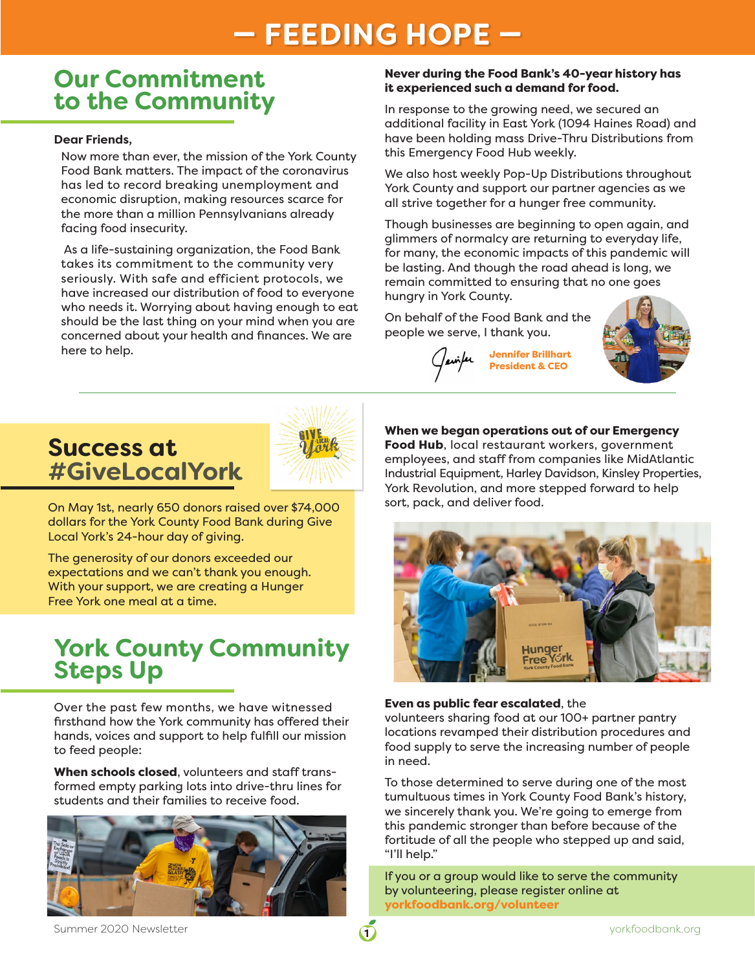## **— FEEDING HOPE —**

### **Our Commitment to the Community**

#### **Dear Friends,**

Now more than ever, the mission of the York County Food Bank matters. The impact of the coronavirus has led to record breaking unemployment and economic disruption, making resources scarce for the more than a million Pennsylvanians already facing food insecurity.

 As a life-sustaining organization, the Food Bank takes its commitment to the community very seriously. With safe and efficient protocols, we have increased our distribution of food to everyone who needs it. Worrying about having enough to eat should be the last thing on your mind when you are concerned about your health and finances. We are here to help.

#### Never during the Food Bank's 40-year history has it experienced such a demand for food.

In response to the growing need, we secured an additional facility in East York (1094 Haines Road) and have been holding mass Drive-Thru Distributions from this Emergency Food Hub weekly.

We also host weekly Pop-Up Distributions throughout York County and support our partner agencies as we all strive together for a hunger free community.

Though businesses are beginning to open again, and glimmers of normalcy are returning to everyday life, for many, the economic impacts of this pandemic will be lasting. And though the road ahead is long, we remain committed to ensuring that no one goes hungry in York County.

On behalf of the Food Bank and the people we serve, I thank you.





## **Success at #GiveLocalYork**



On May 1st, nearly 650 donors raised over \$74,000 dollars for the York County Food Bank during Give Local York's 24-hour day of giving.

The generosity of our donors exceeded our expectations and we can't thank you enough. With your support, we are creating a Hunger Free York one meal at a time.

## **York County Community Steps Up**

Over the past few months, we have witnessed firsthand how the York community has offered their hands, voices and support to help fulfill our mission to feed people:

When schools closed, volunteers and staff transformed empty parking lots into drive-thru lines for students and their families to receive food.



When we began operations out of our Emergency Food Hub, local restaurant workers, government employees, and staff from companies like MidAtlantic Industrial Equipment, Harley Davidson, Kinsley Properties, York Revolution, and more stepped forward to help sort, pack, and deliver food.



### Even as public fear escalated, the

volunteers sharing food at our 100+ partner pantry locations revamped their distribution procedures and food supply to serve the increasing number of people in need.

To those determined to serve during one of the most tumultuous times in York County Food Bank's history, we sincerely thank you. We're going to emerge from this pandemic stronger than before because of the fortitude of all the people who stepped up and said, "I'll help."

If you or a group would like to serve the community by volunteering, please register online at yorkfoodbank.org/volunteer

Summer 2020 Newsletter **1986 Summer 2020** Newsletter **1986** Summer 2020 Newsletter when the state of the state of the state of the state of the state of the state of the state of the state of the state of the state of the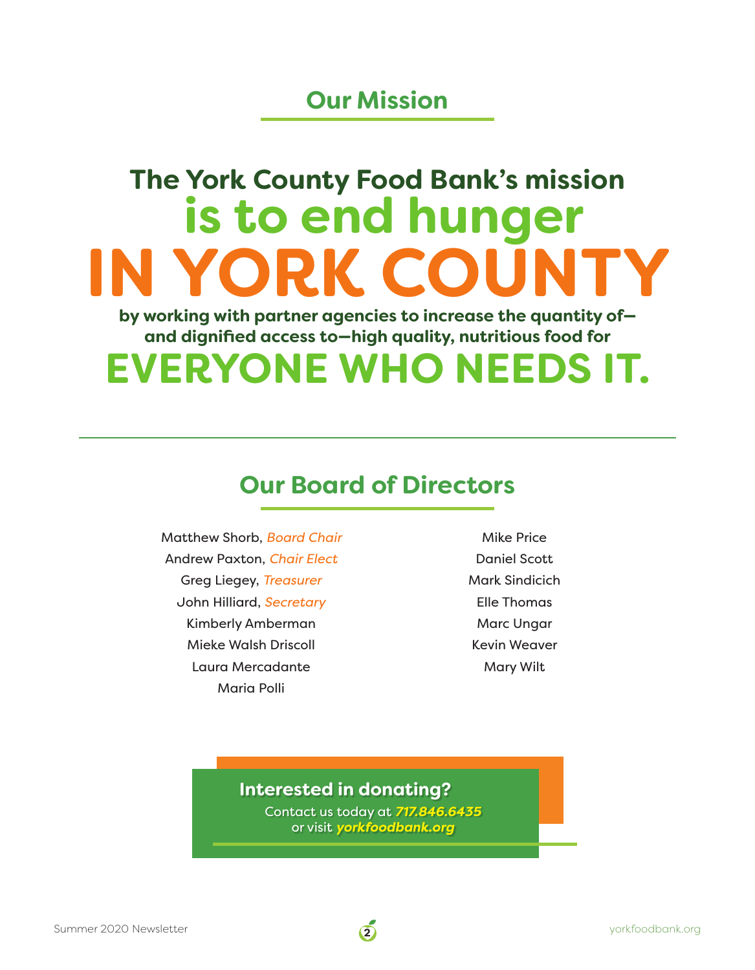## **Our Mission**

# **The York County Food Bank's mission is to end hunger IN YORK COUNT**

**and dignified access to—high quality, nutritious food for by working with partner agencies to increase the quantity of—**

## **EVERYONE WHO NEEDS IT.**

## **Our Board of Directors**

Matthew Shorb, *Board Chair*  Andrew Paxton, *Chair Elect*  Greg Liegey, *Treasurer* John Hilliard, *Secretary* Kimberly Amberman Mieke Walsh Driscoll Laura Mercadante Maria Polli

Mike Price Daniel Scott Mark Sindicich Elle Thomas Marc Ungar Kevin Weaver Mary Wilt

### **Interested in donating?**

Contact us today at *717.846.6435* or visit *yorkfoodbank.org*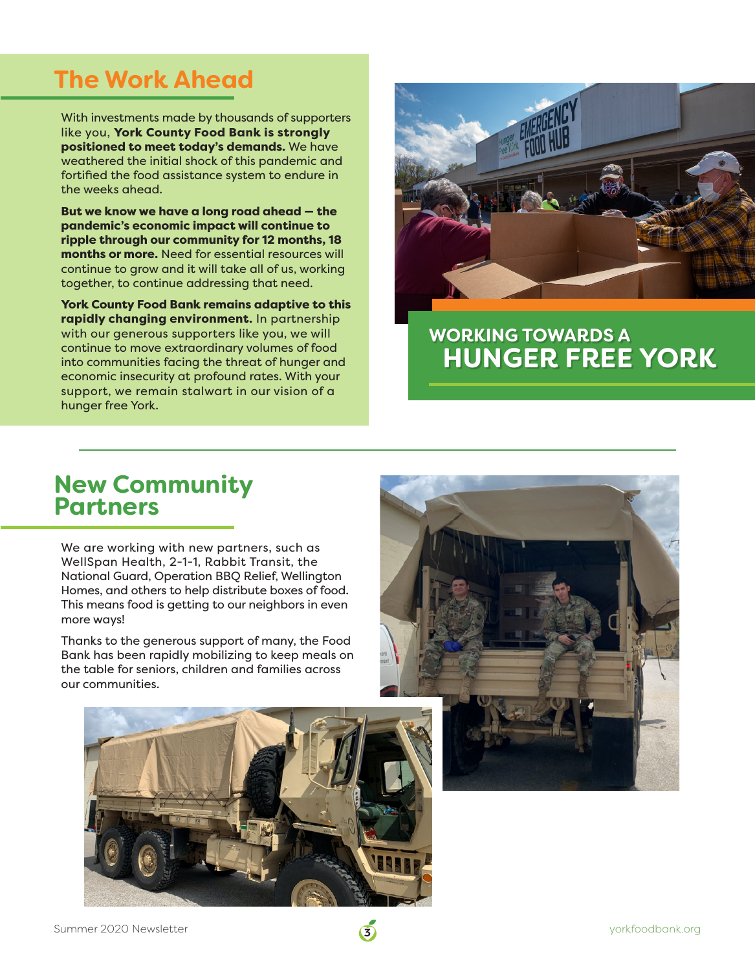## **The Work Ahead**

With investments made by thousands of supporters like you, York County Food Bank is strongly positioned to meet today's demands. We have weathered the initial shock of this pandemic and fortified the food assistance system to endure in the weeks ahead.

But we know we have a long road ahead — the pandemic's economic impact will continue to ripple through our community for 12 months, 18 months or more. Need for essential resources will continue to grow and it will take all of us, working together, to continue addressing that need.

York County Food Bank remains adaptive to this rapidly changing environment. In partnership with our generous supporters like you, we will continue to move extraordinary volumes of food into communities facing the threat of hunger and economic insecurity at profound rates. With your support, we remain stalwart in our vision of a hunger free York.



## **WORKING TOWARDS A HUNGER FREE YORK**

# **New Community Partners**

We are working with new partners, such as WellSpan Health, 2-1-1, Rabbit Transit, the National Guard, Operation BBQ Relief, Wellington Homes, and others to help distribute boxes of food. This means food is getting to our neighbors in even more ways!

Thanks to the generous support of many, the Food Bank has been rapidly mobilizing to keep meals on the table for seniors, children and families across our communities.